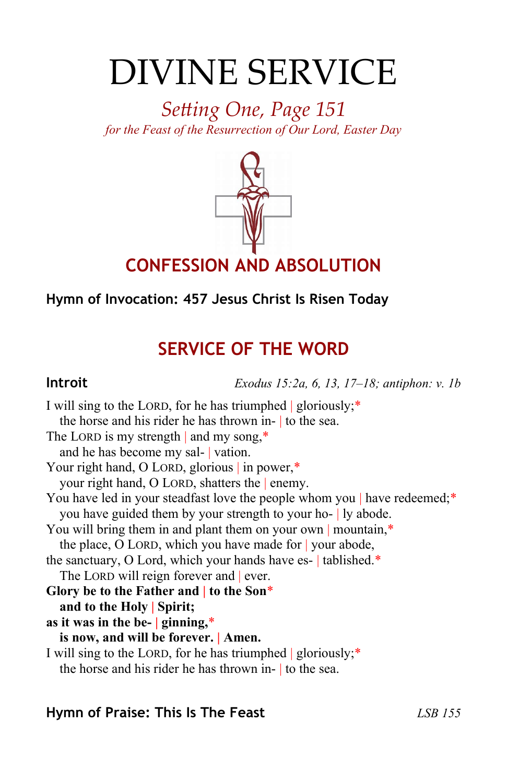# DIVINE SERVICE

*Setting One, Page 151 for the Feast of the Resurrection of Our Lord, Easter Day*



## **Hymn of Invocation: 457 Jesus Christ Is Risen Today**

# **SERVICE OF THE WORD**

**Introit** *Exodus 15:2a, 6, 13, 17–18; antiphon: v. 1b*

I will sing to the LORD, for he has triumphed | gloriously;\* the horse and his rider he has thrown in- | to the sea. The LORD is my strength and my song,\* and he has become my sal- | vation. Your right hand, O LORD, glorious in power,\* your right hand, O LORD, shatters the | enemy. You have led in your steadfast love the people whom you | have redeemed;\* you have guided them by your strength to your ho- | ly abode. You will bring them in and plant them on your own | mountain,\* the place, O LORD, which you have made for | your abode, the sanctuary, O Lord, which your hands have es- | tablished.\* The LORD will reign forever and ever. **Glory be to the Father and | to the Son**\* **and to the Holy | Spirit; as it was in the be- | ginning,**\* **is now, and will be forever. | Amen.** I will sing to the LORD, for he has triumphed | gloriously;\* the horse and his rider he has thrown in- | to the sea.

## **Hymn of Praise: This Is The Feast** *LSB 155*